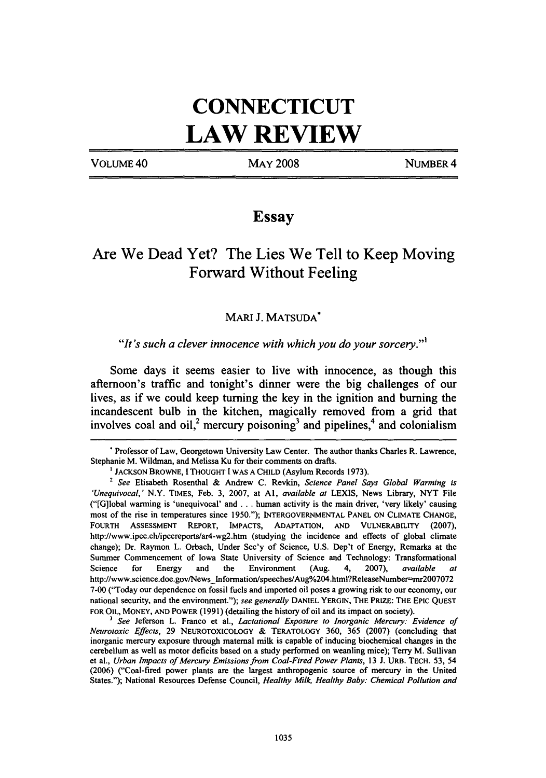# **CONNECTICUT**  LAW REVIEW

VOLUME 40

MAy 2008

NUMBER 4

## Essay

## Are We Dead Yet? The Lies We Tell to Keep Moving Forward Without Feeling

### MARl J. MATSUDA"

#### "It's such a clever innocence with which you do your sorcery."<sup>1</sup>

Some days it seems easier to live with innocence, as though this afternoon's traffic and tonight's dinner were the big challenges of our lives, as if we could keep turning the key in the ignition and burning the incandescent bulb in the kitchen, magically removed from a grid that involves coal and oil,<sup>2</sup> mercury poisoning<sup>3</sup> and pipelines,<sup>4</sup> and colonialism

<sup>•</sup> Professor of Law, Georgetown University Law Center. The author thanks Charles R. Lawrence, Stephanie M. Wildman, and Melissa Ku for their comments on drafts.

<sup>&</sup>lt;sup>1</sup> JACKSON BROWNE, I THOUGHT I WAS A CHILD (Asylum Records 1973).

<sup>2</sup>*See* Elisabeth Rosenthal & Andrew C. Revkin, *Science Panel Says Global Warming is 'Unequivocal,'* N.Y. TIMES, Feb. 3, 2007, at AI, *available at* LEXIS, News Library, NYT File ("[G]lobal warming is 'unequivocal' and ... human activity is the main driver, 'very likely' causing most of the rise in temperatures since 1950."); INTERGOVERNMENTAL PANEL ON CLIMATE CHANGE, FOURTH ASSESSMENT REpORT, IMPACTS, ADAPTATION, AND VULNERABILITY (2007), http://www.ipcc.chlipccreportslar4-wg2.htm (studying the incidence and effects of global climate change); Dr. Raymon L. Orbach, Under Sec'y of Science, U.S. Dep't of Energy. Remarks at the Summer Commencement of Iowa State University of Science and Technology: Transformational Science for Energy and the Environment (Aug. 4, 2007), *available at*  http://www.science.doe.gov/News\_Information/speeches/Aug%204.html?ReleaseNumber=mr2007072 7-00 ("Today our dependence on fossil fuels and imported oil poses a growing risk to our economy, our national security, and the environment."); *see generally* DANIEL YERGIN, THE PRIZE: THE EpIC QUEST FOR OIL, MONEY, AND POWER (1991) (detailing the history of oil and its impact on society).

<sup>3</sup>*See* Jeferson L. Franco et aI., *Lactational Exposure to Inorganic Mercury: Evidence of Neurotoxic Effects,* 29 NEUROTOXICOLOGY & TERATOLOGY 360, 365 (2007) (concluding that inorganic mercury exposure through maternal milk is capable of inducing biochemical changes in the cerebellum as well as motor deficits based on a study performed on weanling mice); Terry M. Sullivan et aI., *Urban Impacts of Mercury Emissions from Coal-Fired Power Plants,* 13 J. URB. TECH. 53, 54 (2006) ("Coal-fired power plants are the largest anthropogenic source of mercury in the United States."); National Resources Defense Council, *Healthy Milk, Healthy Baby: Chemical Pollution and*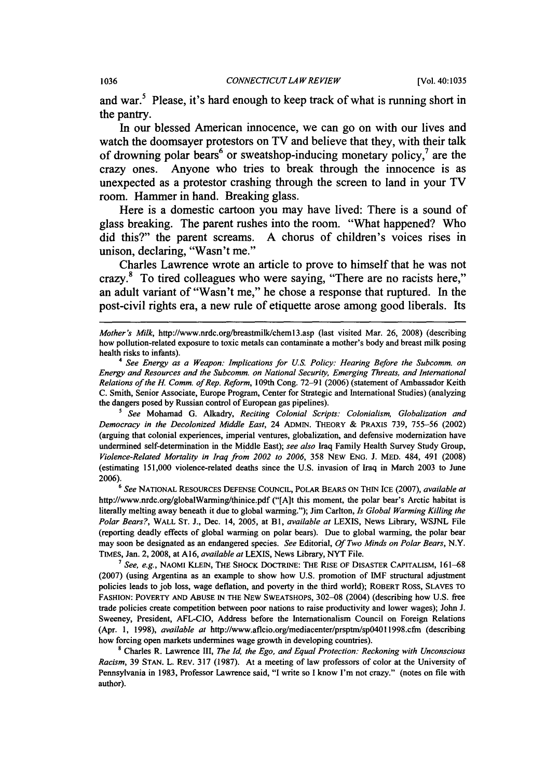#### 1036 *CONNECTICUT LA W REVIEW* [Vol. 40:1035

and war.<sup>5</sup> Please, it's hard enough to keep track of what is running short in the pantry.

In our blessed American innocence, we can go on with our lives and watch the doomsayer protestors on TV and believe that they, with their talk of drowning polar bears<sup>6</sup> or sweatshop-inducing monetary policy,<sup>7</sup> are the crazy ones. Anyone who tries to break through the innocence is as unexpected as a protestor crashing through the screen to land in your TV room. Hammer in hand. Breaking glass.

Here is a domestic cartoon you may have lived: There is a sound of glass breaking. The parent rushes into the room. "What happened? Who did this?" the parent screams. A chorus of children's voices rises in unison, declaring, "Wasn't me."

Charles Lawrence wrote an article to prove to himself that he was not crazy.8 To tired colleagues who were saying, "There are no racists here," an adult variant of "Wasn't me," he chose a response that ruptured. In the post-civil rights era, a new rule of etiquette arose among good liberals. Its

*Mother's Milk, http://www.nrdc.org/breastmilk/chem13.asp (last visited Mar. 26, 2008) (describing* how pollution-related exposure to toxic metals can contaminate a mother's body and breast milk posing health risks to infants).

*4 See Energy as a Weapon: Implications for u.s. Policy: Hearing Before the Subcomm. on Energy and Resources and the Subcomm. on National Security, Emerging Threats, and International Relations of the H. Comm. of Rep. Reform, 109th Cong. 72-91 (2006) (statement of Ambassador Keith* C. Smith, Senior Associate, Europe Program, Center for Strategic and International Studies) (analyzing the dangers posed by Russian control of European gas pipelines).

*5 See* Mohamad G. Alkadry, *Reciting Colonial Scripts: Colonialism, Globalization and Democracy in the Decolonized Middle East,* 24 ADMIN. THEORY & PRAXIS 739, 755-56 (2002) (arguing that colonial experiences, imperial ventures, globalization, and defensive modernization have undermined self-determination in the Middle East); *see also* Iraq Family Health Survey Study Group, *Violence-Related Mortality in Iraq from 2002 to 2006,* 358 NEW ENG. J. MED. 484, 491 (2008) (estimating 151,000 violence-related deaths since the U.S. invasion of Iraq in March 2003 to June 2006).

<sup>6</sup>*See* NATIONAL RESOURCES DEFENSE COUNCIL, POLAR BEARS ON THIN ICE (2007), *available at*  http://www.nrdc.org/globalWarming/thinice.pdf ("[A]t this moment, the polar bear's Arctic habitat is literally melting away beneath it due to global warming."); Jim Carlton, *Is Global Warming Killing the Polar Bears?,* WALL ST. J., Dec. 14, 2005, at Bl, *available at* LEXIS, News Library, WSJNL File (reporting deadly effects of global warming on polar bears). Due to global warming, the polar bear may soon be designated as an endangered species. *See* Editorial, *Of Two Minds on Polar Bears,* N.Y. TIMES, Jan. 2,2008, at A16, *available at* LEXIS, News Library, NYT File.

<sup>7</sup> See, e.g., Naomi Klein, The Shock Doctrine: The Rise of Disaster Capitalism, 161–68 (2007) (using Argentina as an example to show how U.S. promotion of IMF structural adjustment policies leads to job loss, wage deflation, and poverty in the third world); ROBERT Ross, SLAVES TO FASHION: POVERTY AND ABUSE IN THE NEW SWEATSHOPS, 302-08 (2004) (describing how U.S. free trade policies create competition between poor nations to raise productivity and lower wages); John J. Sweeney, President, AFL-CIO, Address before the Internationalism Council on Foreign Relations (Apr. 1, 1998), *available at http://www.aflcio.org/mediacenter/prsptm/sp04011998.cfm (describing* how forcing open markets undermines wage growth in developing countries).

8 Charles R. Lawrence III, *The Id. the Ego, and Equal Protection: Reckoning with Unconscious Racism,* 39 STAN. L. REv. 317 (1987). At a meeting of law professors of color at the University of Pennsylvania in 1983, Professor Lawrence said, "I write so I know I'm not crazy." (notes on file with author).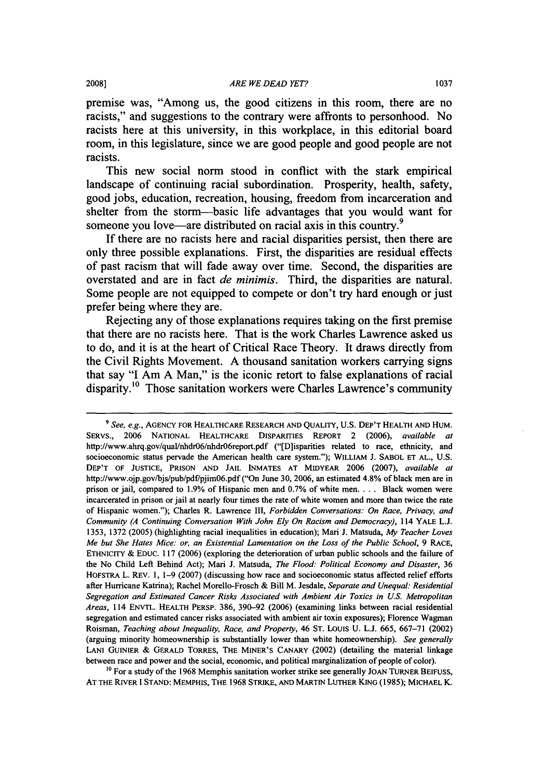premise was, "Among us, the good citizens in this room, there are no racists," and suggestions to the contrary were affronts to personhood. No racists here at this university, in this workplace, in this editorial board room, in this legislature, since we are good people and good people are not racists.

This new social norm stood in conflict with the stark empirical landscape of continuing racial subordination. Prosperity, health, safety, good jobs, education, recreation, housing, freedom from incarceration and shelter from the storm-basic life advantages that you would want for someone you love—are distributed on racial axis in this country.<sup>9</sup>

If there are no racists here and racial disparities persist, then there are only three possible explanations. First, the disparities are residual effects of past racism that will fade away over time. Second, the disparities are overstated and are in fact *de minimis.* Third, the disparities are natural. Some people are not equipped to compete or don't try hard enough or just prefer being where they are.

Rejecting any of those explanations requires taking on the first premise that there are no racists here. That is the work Charles Lawrence asked us to do, and it is at the heart of Critical Race Theory. It draws directly from the Civil Rights Movement. A thousand sanitation workers carrying signs that say "I Am A Man," is the iconic retort to false explanations of racial disparity.<sup>10</sup> Those sanitation workers were Charles Lawrence's community

 $10$  For a study of the 1968 Memphis sanitation worker strike see generally JOAN TURNER BEIFUSS, AT THE RNER I STAND: MEMPHIS, THE 1968 STRIKE, AND MARTIN LUTHER KING (1985); MICHAEL K.

*<sup>9</sup> See, e.g.,* AGENCY FOR HEALTHCARE RESEARCH AND QUALITY, U.S. DEP'T HEALTH AND HUM. SERVS., 2006 NATIONAL HEALTHCARE DISPARITIES REpORT 2 (2006), *available at*  http://www.ahrq.gov/qual/nhdr06/nhdr06report.pdf ("[D]isparities related to race, ethnicity, and socioeconomic status pervade the American health care system."); WILLIAM J. SABOL ET AL., U.S. DEP'T OF JUSTICE, PRISON AND JAIL INMATES AT MIDYEAR 2006 (2007), *available at*  http://www.ojp.gov/bjs/pub/pdf/pjim06.pdf ("On June 30, 2006, an estimated 4.8% of black men are in prison or jail, compared to 1.9% of Hispanic men and 0.7% of white men. . .. Black women were incarcerated in prison or jail at nearly four times the rate of white women and more than twice the rate of Hispanic women."); Charles R. Lawrence III, *Forbidden Conversations: On Race. Privacy, and Community (A Continuing Conversation With John Ely On Racism and Democracy),* 114 YALE L.J. 1353, 1372 (2005) (highlighting racial inequalities in education); Mari J. Matsuda, *My Teacher Loves Me but She Hates Mice: or. an Existential Lamentation on the Lass of the Public School,* 9 RACE, ETHNICITY & EDUC. 117 (2006) (exploring the deterioration of urban public schools and the failure of the No Child Left Behind Act); Mari J. Matsuda, *The Flood: Political Economy and Disaster, 36*  HOFSTRA L. REV. I, 1-9 (2007) (discussing how race and socioeconomic status affected relief efforts after Hurricane Katrina); Rachel Morello-Frosch & Bill M. Jesdale, *Separate and Unequal: Residential Segregation and Estimated Cancer Risks Associated with Ambient Air Toxics in U.S. Metropolitan Areas,* 114 ENVTL. HEALTH PERSP. 386, 390-92 (2006) (examining links between racial residential segregation and estimated cancer risks associated with ambient air toxin exposures); Florence Wagman Roisman, *Teaching about Inequality, Race, and Property,* 46 ST. LoUIS U. L.J. 665, 667-71 (2002) (arguing minority homeownership is substantially lower than white homeownership). *See generally*  LANI GUINIER & GERALD TORRES, THE MINER'S CANARY (2002) (detailing the material linkage between race and power and the social, economic, and political marginalization of people of color).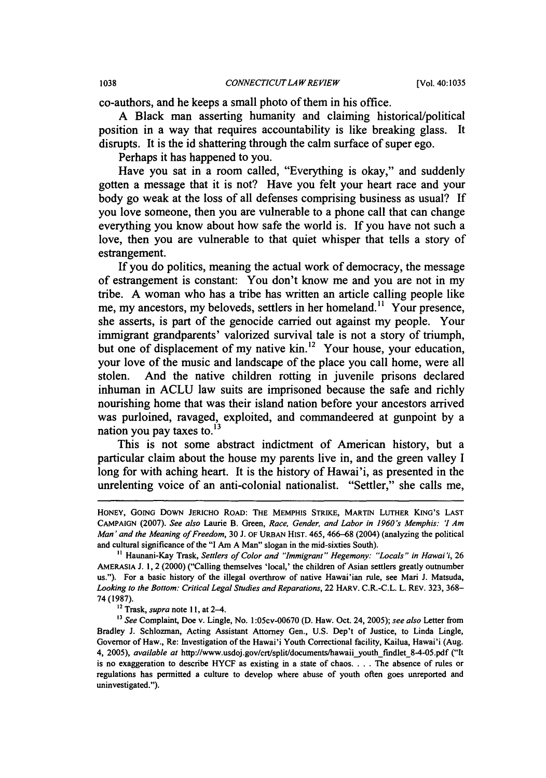co-authors, and he keeps a small photo of them in his office.

A Black man asserting humanity and claiming historical/political position in a way that requires accountability is like breaking glass. It disrupts. It is the id shattering through the calm surface of super ego.

Perhaps it has happened to you.

Have you sat in a room called, "Everything is okay," and suddenly gotten a message that it is not? Have you felt your heart race and your body go weak at the loss of all defenses comprising business as usual? If you love someone, then you are vulnerable to a phone call that can change everything you know about how safe the world is. If you have not such a love, then you are vulnerable to that quiet whisper that tells a story of estrangement.

If you do politics, meaning the actual work of democracy, the message of estrangement is constant: You don't know me and you are not in my tribe. A woman who has a tribe has written an article calling people like me, my ancestors, my beloveds, settlers in her homeland.<sup>11</sup> Your presence, she asserts, is part of the genocide carried out against my people. Your immigrant grandparents' valorized survival tale is not a story of triumph, but one of displacement of my native kin.<sup>12</sup> Your house, your education, your love of the music and landscape of the place you call home, were all stolen. And the native children rotting in juvenile prisons declared inhuman in ACLU law suits are imprisoned because the safe and richly nourishing home that was their island nation before your ancestors arrived was purloined, ravaged, exploited, and commandeered at gunpoint by a nation you pay taxes to. $^{13}$ 

This is not some abstract indictment of American history, but a particular claim about the house my parents live in, and the green valley I long for with aching heart. It is the history of Hawai'i, as presented in the unrelenting voice of an anti-colonial nationalist. "Settler," she calls me,

HONEY, GOING DOWN JERICHO ROAD: THE MEMPHIS STRIKE, MARTIN LUTHER KING'S LAST CAMPAIGN (2007). *See also* Laurie B. Green, *Race, Gender, and Lobar* in *1960's Memphis:* '1 *Am Man' and the Meaning 0/ Freedom,* 30 J. OF URBAN HIST. *46S,* 466-68 (2004) (analyzing the political and cultural significance of the "I Am A Man" slogan in the mid-sixties South).

II Haunani-Kay Trask, *Settlers a/Color and "Immigrant" Hegemony: "Locals"* in *Hawai'i, 26*  AMERASIA J. 1,2 (2000) ("Calling themselves 'local,' the children of Asian settlers greatly outnumber us."). For a basic history of the illegal overthrow of native Hawai'ian rule, see Mari J. Matsuda, *Looking to the Bottom: Critical Legal Studies and Reparations,* 22 HARv. C.R.-C.L. L. REV. 323, 368- 74 (1987).

<sup>12</sup> Trask, *supra* note II, at 2-4.

<sup>13</sup>*See* Complaint, Doe v. Lingle, No. 1 :OScv-00670 (D. Haw. Oct. 24, 200S); *see also* Letter from Bradley J. Schlozman, Acting Assistant Attorney Gen., U.S. Dep't of Justice, to Linda Lingle, Governor of Haw., Re: Investigation of the Hawai'i Youth Correctional facility, Kailua, Hawai'i (Aug. 4, 2005), *available at http://www.usdoj.gov/crt/split/documents/hawaii\_youth\_findlet\_8-4-05.pdf* ("It is no exaggeration to describe HYCF as existing in a state of chaos .... The absence of rules or regulations has permitted a culture to develop where abuse of youth often goes unreported and uninvestigated.").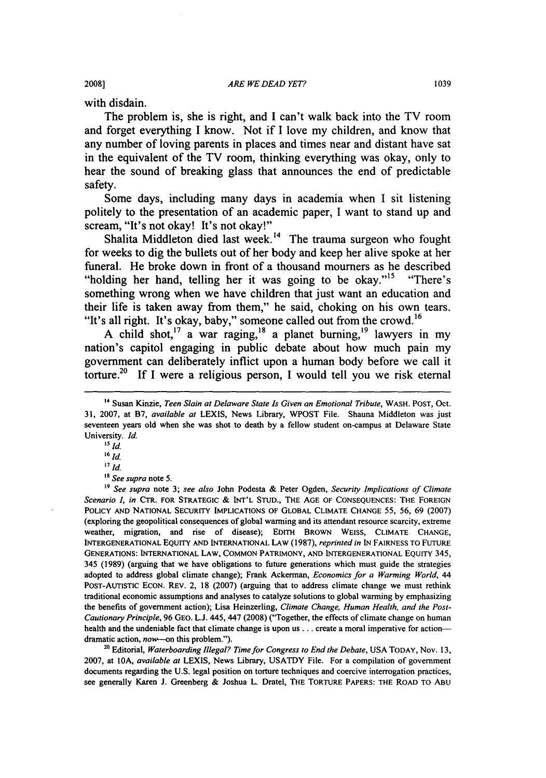with disdain.

The problem is, she is right, and I can't walk back into the TV room and forget everything I know. Not if I love my children, and know that any number of loving parents in places and times near and distant have sat in the equivalent of the TV room, thinking everything was okay, only to hear the sound of breaking glass that announces the end of predictable safety.

Some days, including many days in academia when I sit listening politely to the presentation of an academic paper, I want to stand up and scream, "It's not okay! It's not okay!"

Shalita Middleton died last week.<sup>14</sup> The trauma surgeon who fought for weeks to dig the bullets out of her body and keep her alive spoke at her funeral. He broke down in front of a thousand mourners as he described "holding her hand, telling her it was going to be okay."<sup>15</sup> "There's something wrong when we have children that just want an education and their life is taken away from them," he said, choking on his own tears. "It's all right. It's okay, baby," someone called out from the crowd.<sup>16</sup>

A child shot,<sup>17</sup> a war raging,<sup>18</sup> a planet burning,<sup>19</sup> lawyers in my nation's capitol engaging in public debate about how much pain my government can deliberately inflict upon a human body before we call it torture.<sup>20</sup> If I were a religious person, I would tell you we risk eternal

IS *Id.* 

<sup>20</sup> Editorial, Waterboarding Illegal? Time for Congress to End the Debate, USA TODAY, Nov. 13, 2007, at lOA, *available at* LEXIS, News Library, USATDY File. For a compilation of government documents regarding the U.S. legal position on torture techniques and coercive interrogation practices, see generally Karen J. Greenberg & Joshua L. Dratel, THE TORTURE PAPERS: THE ROAD TO ABu

<sup>14</sup> Susan Kinzie, *Teen Slain at Delaware State Is Given an Emotional Tribute,* WASH. POST, Oct. 31, 2007, at B7, *available at* LEXIS, News Library, WPOST File. Shauna Middleton was just seventeen years old when she was shot to death by a fellow student on-campus at Delaware State University. *Id.* 

<sup>&</sup>lt;sup>16</sup> *Id.* 

*<sup>17</sup>Id.* 

<sup>18</sup>*See supra* note 5.

<sup>19</sup>*See supra* note 3; *see also* John Podesta & Peter Ogden, *Security Implications of Climate Scenario I, in* CTR. FOR STRATEGIC & INT'L STUD., THE AGE OF CONSEQUENCES: THE FOREIGN POLICY AND NATIONAL SECURITY IMPLICATIONS OF GLOBAL CLIMATE CHANGE 55, 56, 69 (2007) (exploring the geopolitical consequences of global warming and its attendant resource scarcity, extreme weather, migration, and rise of disease); EDITH BROWN WEISS, CLIMATE CHANGE, INTERGENERATIONAL EQUITY AND INTERNATIONAL LAW (1987), *reprinted in* IN FAIRNESS TO fuTURE GENERATIONS: INTERNATIONAL LAW, COMMON PATRIMONY, AND INTERGENERATIONAL EQUITY 345, 345 (1989) (arguing that we have obligations to future generations which must guide the strategies adopted to address global climate change); Frank Ackerman, *Economics for a Warming World, 44*  POST-AUTISTIC ECON. REv. 2, 18 (2007) (arguing that to address climate change we must rethink traditional economic assumptions and analyses to catalyze solutions to global warming by emphasizing the benefits of government action); Lisa Heinzeriing, *Climate Change, Human Health, and the Post-Cautionary Principle,* 96 GEO. LJ. 445, 447 (2008) ("Together, the effects of climate change on human health and the undeniable fact that climate change is upon us . . . create a moral imperative for actiondramatic action, now-on this problem.").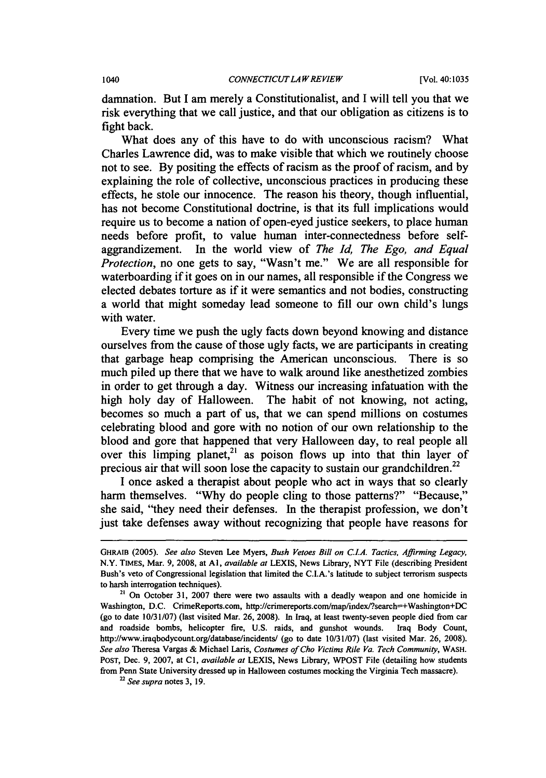damnation. But I am merely a Constitutionalist, and I will tell you that we risk everything that we call justice, and that our obligation as citizens is to fight back.

What does any of this have to do with unconscious racism? What Charles Lawrence did, was to make visible that which we routinely choose not to see. By positing the effects of racism as the proof of racism, and by explaining the role of collective, unconscious practices in producing these effects, he stole our innocence. The reason his theory, though influential, has not become Constitutional doctrine, is that its full implications would require us to become a nation of open-eyed justice seekers, to place human needs before profit, to value human inter-connectedness before selfaggrandizement. In the world view of *The Id, The Ego, and Equal Protection,* no one gets to say, "Wasn't me." We are all responsible for waterboarding if it goes on in our names, all responsible if the Congress we elected debates torture as if it were semantics and not bodies, constructing a world that might someday lead someone to fill our own child's lungs with water.

Every time we push the ugly facts down beyond knowing and distance ourselves from the cause of those ugly facts, we are participants in creating that garbage heap comprising the American unconscious. There is so much piled up there that we have to walk around like anesthetized zombies in order to get through a day. Witness our increasing infatuation with the high holy day of Halloween. The habit of not knowing, not acting, becomes so much a part of us, that we can spend millions on costumes celebrating blood and gore with no notion of our own relationship to the blood and gore that happened that very Halloween day, to real people all over this limping planet, $21$  as poison flows up into that thin layer of precious air that will soon lose the capacity to sustain our grandchildren.<sup>22</sup>

I once asked a therapist about people who act in ways that so clearly harm themselves. "Why do people cling to those patterns?" "Because," she said, "they need their defenses. In the therapist profession, we don't just take defenses away without recognizing that people have reasons for

22 *See supra* notes 3, 19.

GHRAIB (2005). *See also* Steven Lee Myers, *Bush Vetoes Bill on C.I.A. Tactics, Affirming Legacy,*  N.V. TIMES, Mar. 9, 2008, at AI, *available at* LEXIS, News Library, NYT File (describing President Bush's veto of Congressional legislation that limited the C.I.A.'s latitude to subject terrorism suspects to harsh interrogation techniques).

 $21$  On October 31, 2007 there were two assaults with a deadly weapon and one homicide in Washington, D.C. CrimeReports.com, http://crimereports.com/map/index/?search=+Washington+DC (go to date 10/31/07) (last visited Mar. 26, 2008). In Iraq, at least twenty-seven people died from car and roadside bombs, helicopter fire, U.S. raids, and gunshot wounds. Iraq Body Count, http://www.iraqbodycount.org/database/incidents/ (go to date 10/31/07) (last visited Mar. 26, 2008). *See also* Theresa Vargas & Michael Laris, *Costumes ofCho Victims Rile Va. Tech Community,* WASH. POST, Dec. 9, 2007, at CI, *available at* LEXIS, News Library, WPOST File (detailing how students from Penn State University dressed up in Halloween costumes mocking the Virginia Tech massacre).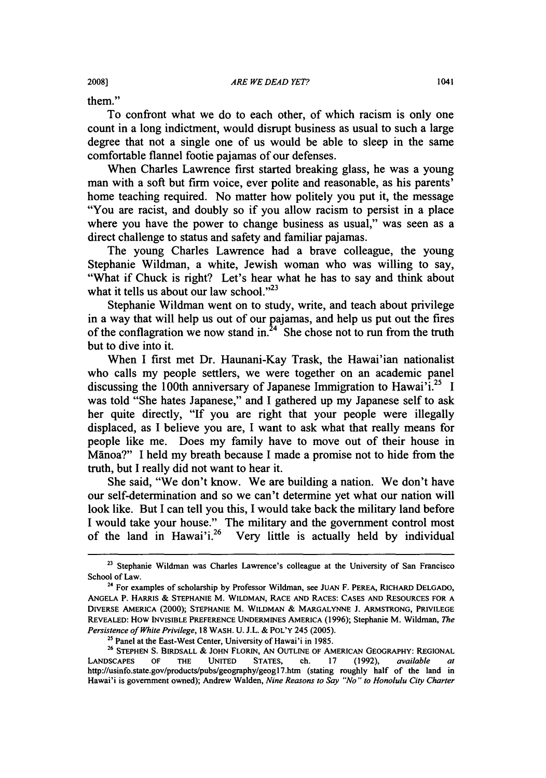them."

To confront what we do to each other, of which racism is only one count in a long indictment, would disrupt business as usual to such a large degree that not a single one of us would be able to sleep in the same comfortable flannel footie pajamas of our defenses.

When Charles Lawrence first started breaking glass, he was a young man with a soft but firm voice, ever polite and reasonable, as his parents' home teaching required. No matter how politely you put it, the message "You are racist, and doubly so if you allow racism to persist in a place where you have the power to change business as usual," was seen as a direct challenge to status and safety and familiar pajamas.

The young Charles Lawrence had a brave colleague, the young Stephanie Wildman, a white, Jewish woman who was willing to say, "What if Chuck is right? Let's hear what he has to say and think about what it tells us about our law school. $v^{23}$ 

Stephanie Wildman went on to study, write, and teach about privilege in a way that will help us out of our pajamas, and help us put out the fires of the conflagration we now stand in. $24$  She chose not to run from the truth but to dive into it.

When I first met Dr. Haunani-Kay Trask, the Hawai'ian nationalist who calls my people settlers, we were together on an academic panel discussing the 100th anniversary of Japanese Immigration to Hawai'i.<sup>25</sup> I was told "She hates Japanese," and I gathered up my Japanese self to ask her quite directly, "If you are right that your people were illegally displaced, as I believe you are, I want to ask what that really means for people like me. Does my family have to move out of their house in Manoa?" I held my breath because I made a promise not to hide from the truth, but I really did not want to hear it.

She said, "We don't know. We are building a nation. We don't have our self-determination and so we can't determine yet what our nation will look like. But I can tell you this, I would take back the military land before I would take your house." The military and the government control most of the land in Hawai'i.<sup>26</sup> Very little is actually held by individual

<sup>&</sup>lt;sup>23</sup> Stephanie Wildman was Charles Lawrence's colleague at the University of San Francisco School of Law.

<sup>&</sup>lt;sup>24</sup> For examples of scholarship by Professor Wildman, see JUAN F. PEREA, RICHARD DELGADO, ANGELA P. HARRIS & STEPHANIE M. WILDMAN, RACE AND RACES: CASES AND RESOURCES FOR A DIVERSE AMERICA (2000); STEPHANIE M. WILDMAN & MARGALYNNE J. ARMSTRONG, PRIVILEGE REVEALED: How INVISIBLE PREFERENCE UNDERMINES AMERICA (1996); Stephanie M. Wildman, *The Persistence o/White Privilege,* 18 WASH. U. J.L. & POL'y 245 (2005).

<sup>&</sup>lt;sup>25</sup> Panel at the East-West Center, University of Hawai'i in 1985.

<sup>&</sup>lt;sup>26</sup> STEPHEN S. BIRDSALL & JOHN FLORIN, AN OUTLINE OF AMERICAN GEOGRAPHY: REGIONAL LANDSCAPES OF THE UNITED STATES, ch. 17 (1992), *available at*  http://usinfo.state.gov/products/pubs/geography/geogl7.htm (stating roughly half of the land in Hawai'i is government owned); Andrew Walden, *Nine Reasons to Say "No" to Honolulu City Charter*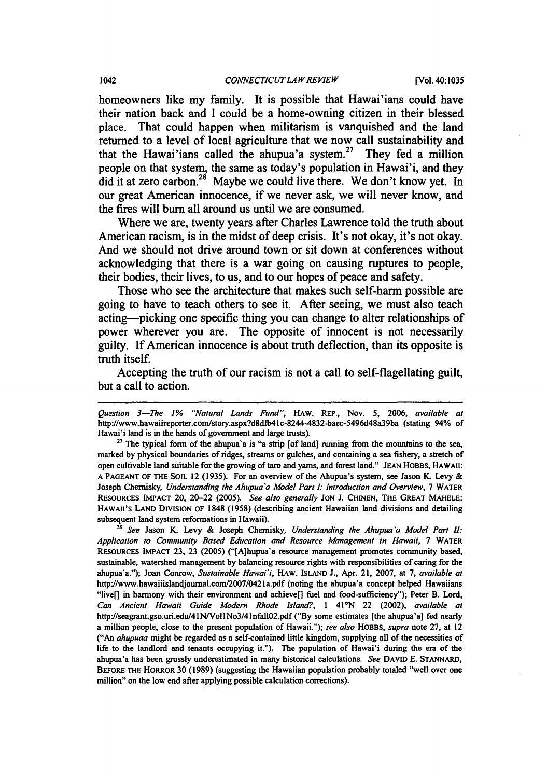homeowners like my family. It is possible that Hawai'ians could have their nation back and I could be a home-owning citizen in their blessed place. That could happen when militarism is vanquished and the land returned to a level of local agriculture that we now call sustainability and that the Hawai'ians called the ahupua'a system.<sup>27</sup> They fed a million people on that system, the same as today's population in Hawai'i, and they did it at zero carbon.<sup>28</sup> Maybe we could live there. We don't know yet. In our great American innocence, if we never ask, we will never know, and the fires will burn all around us until we are consumed.

Where we are, twenty years after Charles Lawrence told the truth about American racism, is in the midst of deep crisis. It's not okay, it's not okay. And we should not drive around town or sit down at conferences without acknowledging that there is a war going on causing ruptures to people, their bodies, their lives, to us, and to our hopes of peace and safety.

Those who see the architecture that makes such self-harm possible are going to have to teach others to see it. After seeing, we must also teach acting-picking one specific thing you can change to alter relationships of power wherever you are. The opposite of innocent is not necessarily guilty. If American innocence is about truth deflection, than its opposite is truth itself.

Accepting the truth of our racism is not a call to self-flagellating guilt, but a call to action.

<sup>28</sup>*See* Jason K. Levy & Joseph Chemisky, *Understanding the Ahupua 'a Model Part II: Application to Community Based Education and Resource Management in Hawaii,* 7 WATER REsOURCES IMPACT 23, 23 (2005) ("[A]hupua'a resource management promotes community based, sustainable, watershed management by balancing resource rights with responsibilities of caring for the ahupua'a."); Joan Conrow, *Sustainable Hawai'i,* HAw. isLAND J., Apr. 21, 2007, at 7, *available at*  http://www.hawaiiislandjoumal.com/2007/042Ia.pdf (noting the ahupua'a concept helped Hawaiians "Iive[] in harmony with their environment and achieve[] fuel and food-sufficiency"); Peter B. Lord, *Can Ancient Hawaii Guide Modem Rhode Island?,* I 41°N 22 (2002), *available at*  http://seagrant.gso.uri.edu/41N/Vol1No3/41nfall02.pdf ("By some estimates [the ahupua'a] fed nearly a million people, close to the present population of Hawaii."); *see also* HOBBS, *supra* note 27, at 12 ("An *ahupuaa* might be regarded as a self-contained little kingdom, supplying all of the necessities of life to the landlord and tenants occupying it."). The population of Hawai'i during the era of the ahupua'a has been grossly underestimated in many historical calculations. *See* DAVID E. STANNARD, BEFORE THE HORROR 30 (1989) (suggesting the Hawaiian population probably totaled "well over one million" on the low end after applying possible calculation corrections).

*Question 3-The* J% *"Natural Lands Fund",* HAw. REP., Nov. 5, 2006, *available at*  http://www.hawaiireporter.comlstory.aspx?d8dfb4lc-8244-4832-baec-5496d48839ba (stating 94% of Hawai'i land is in the hands of government and large trusts).

 $27$  The typical form of the ahupua'a is "a strip [of land] running from the mountains to the sea, marked by physical boundaries of ridges, streams or gulches, and containing a sea fishery, a stretch of open cultivable land suitable for the growing of taro and yams, and forest land." JEAN HOBBS, HAWAII: A PAGEANT OF THE SOIL 12 (1935). For an overview of the Ahupua's system, see Jason K. Levy & Joseph Chernisky, *Understanding the Ahupua'a Model Part I: Introduction and Overview,* 7 WATER RESOURCES IMPACT 20, 20-22 (2005). *See also generally* JON J. CHINEN, THE GREAT MAHELE: HAWAII'S LAND DIVISION OF 1848 (1958) (describing ancient Hawaiian land divisions and detailing subsequent land system reformations in Hawaii).